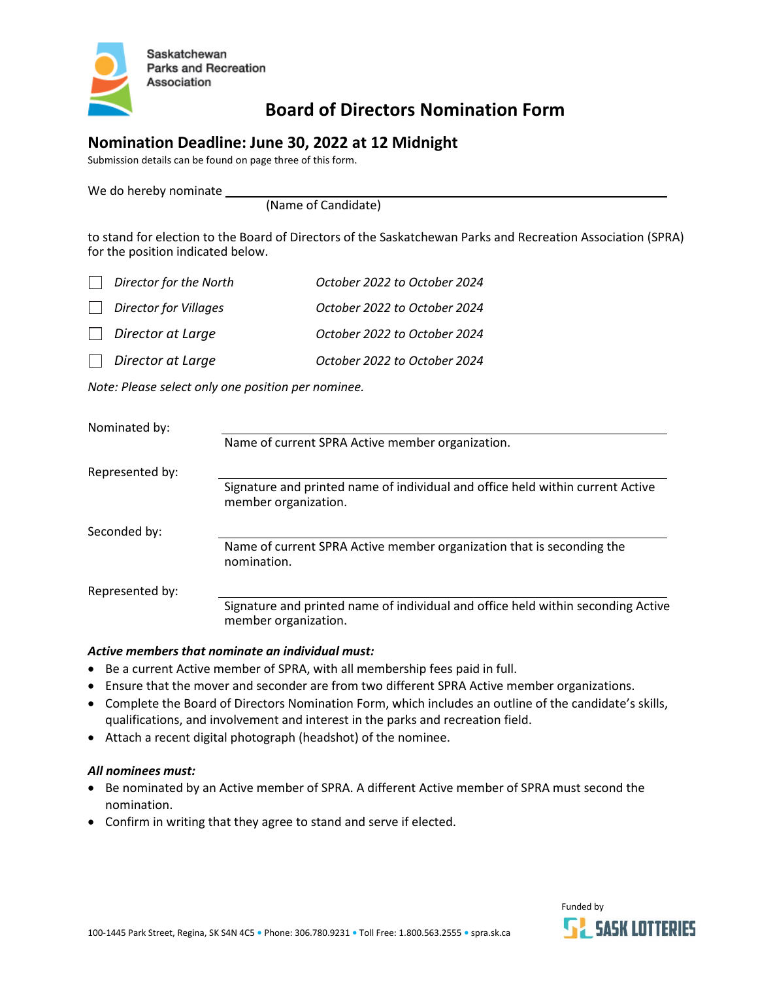

# **Board of Directors Nomination Form**

### **Nomination Deadline: June 30, 2022 at 12 Midnight**

Submission details can be found on page three of this form.

We do hereby nominate

(Name of Candidate)

to stand for election to the Board of Directors of the Saskatchewan Parks and Recreation Association (SPRA) for the position indicated below.

| Director for the North       | October 2022 to October 2024 |
|------------------------------|------------------------------|
| <b>Director for Villages</b> | October 2022 to October 2024 |
| Director at Large            | October 2022 to October 2024 |
| Director at Large            | October 2022 to October 2024 |

*Note: Please select only one position per nominee.*

| Nominated by:   |                                                                                                          |
|-----------------|----------------------------------------------------------------------------------------------------------|
|                 | Name of current SPRA Active member organization.                                                         |
| Represented by: |                                                                                                          |
|                 | Signature and printed name of individual and office held within current Active<br>member organization.   |
| Seconded by:    |                                                                                                          |
|                 | Name of current SPRA Active member organization that is seconding the<br>nomination.                     |
| Represented by: |                                                                                                          |
|                 | Signature and printed name of individual and office held within seconding Active<br>member organization. |

#### *Active members that nominate an individual must:*

- Be a current Active member of SPRA, with all membership fees paid in full.
- Ensure that the mover and seconder are from two different SPRA Active member organizations.
- Complete the Board of Directors Nomination Form, which includes an outline of the candidate's skills, qualifications, and involvement and interest in the parks and recreation field.
- Attach a recent digital photograph (headshot) of the nominee.

#### *All nominees must:*

- Be nominated by an Active member of SPRA. A different Active member of SPRA must second the nomination.
- Confirm in writing that they agree to stand and serve if elected.

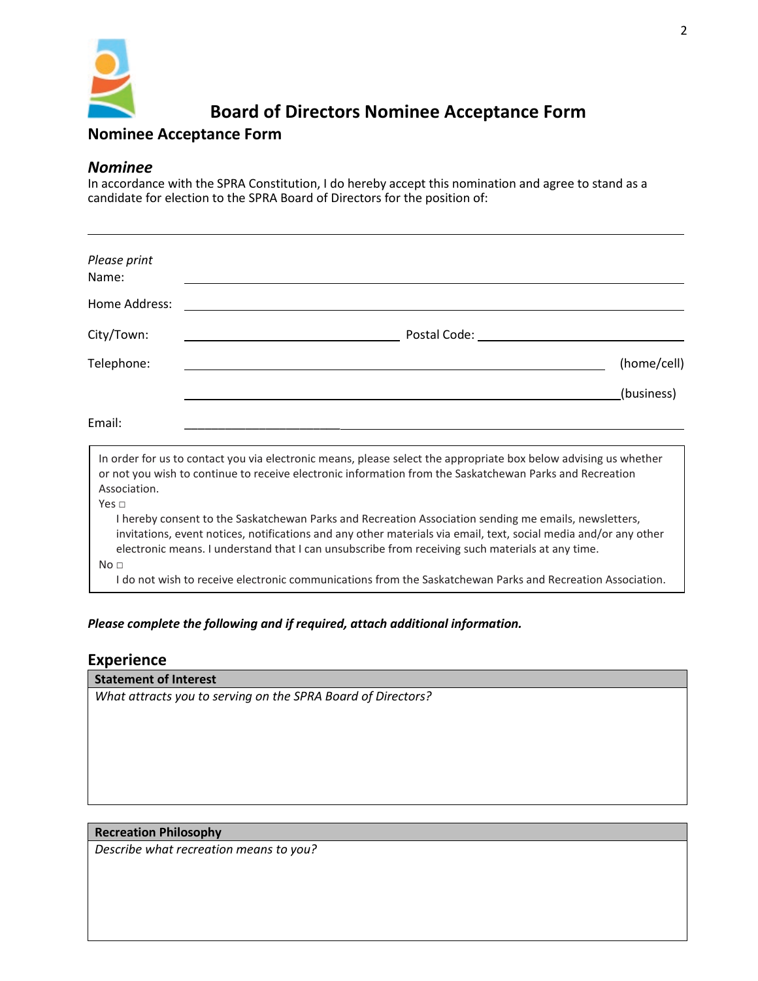

# **Board of Directors Nominee Acceptance Form**

## **Nominee Acceptance Form**

### *Nominee*

In accordance with the SPRA Constitution, I do hereby accept this nomination and agree to stand as a candidate for election to the SPRA Board of Directors for the position of:

| Please print<br>Name:           |                                                                                                                                                                                                                                                                                                                                                                                                                                             |
|---------------------------------|---------------------------------------------------------------------------------------------------------------------------------------------------------------------------------------------------------------------------------------------------------------------------------------------------------------------------------------------------------------------------------------------------------------------------------------------|
| Home Address:                   |                                                                                                                                                                                                                                                                                                                                                                                                                                             |
| City/Town:                      | Postal Code: Noted                                                                                                                                                                                                                                                                                                                                                                                                                          |
| Telephone:                      | (home/cell)                                                                                                                                                                                                                                                                                                                                                                                                                                 |
|                                 | (business)                                                                                                                                                                                                                                                                                                                                                                                                                                  |
| Email:                          |                                                                                                                                                                                                                                                                                                                                                                                                                                             |
| Association.                    | In order for us to contact you via electronic means, please select the appropriate box below advising us whether<br>or not you wish to continue to receive electronic information from the Saskatchewan Parks and Recreation                                                                                                                                                                                                                |
| Yes $\sqcap$<br>No <sub>1</sub> | I hereby consent to the Saskatchewan Parks and Recreation Association sending me emails, newsletters,<br>invitations, event notices, notifications and any other materials via email, text, social media and/or any other<br>electronic means. I understand that I can unsubscribe from receiving such materials at any time.<br>I do not wish to receive electronic communications from the Saskatchewan Parks and Recreation Association. |

#### *Please complete the following and if required, attach additional information.*

#### **Experience**

#### **Statement of Interest**

*What attracts you to serving on the SPRA Board of Directors?*

#### **Recreation Philosophy**

*Describe what recreation means to you?*